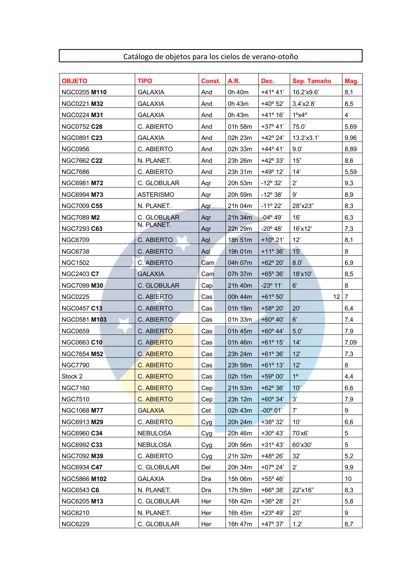## Catálogo de objetos para los cielos de verano-otoño

| <b>OBJETO</b>       | <b>TIPO</b>       | Const. | A.R.    | Dec.              | Sep. Tamaño               | Mag.            |
|---------------------|-------------------|--------|---------|-------------------|---------------------------|-----------------|
| <b>NGC0205 M110</b> | <b>GALAXIA</b>    | And    | 0h 40m  | $+41^{\circ}41'$  | 16.2'x9.6'                | 8,1             |
| NGC0221 M32         | <b>GALAXIA</b>    | And    | 0h 43m  | $+40^{\circ}$ 52' | 3.4'x2.8'                 | 8,5             |
| <b>NGC0224 M31</b>  | GALAXIA           | And    | 0h 43m  | +41° 16'          | $1^{\circ}$ x4 $^{\circ}$ | 4               |
| <b>NGC0752 C28</b>  | C. ABIERTO        | And    | 01h 58m | $+37°41'$         | 75.0'                     | 5,69            |
| NGC0891 C23         | <b>GALAXIA</b>    | And    | 02h 23m | $+42^{\circ} 24'$ | 13.2'x3.1'                | 9,96            |
| <b>NGC0956</b>      | C. ABIERTO        | And    | 02h 33m | $+44^{\circ}41'$  | 9.0'                      | 8,89            |
| NGC7662 C22         | N. PLANET.        | And    | 23h 26m | $+42^{\circ}33'$  | 15"                       | 8,6             |
| <b>NGC7686</b>      | C. ABIERTO        | And    | 23h 31m | $+49°12'$         | 14'                       | 5,59            |
| NGC6981 M72         | C. GLOBULAR       | Agr    | 20h 53m | $-12^{\circ}32'$  | $2^{\prime}$              | 9,3             |
| NGC6994 M73         | <b>ASTERISMO</b>  | Agr    | 20h 59m | $-12^{\circ}38'$  | 9'                        | 8,9             |
| NGC7009 C55         | N. PLANET.        | Agr    | 21h 04m | $-11^{\circ} 22'$ | 28"x23"                   | 8,3             |
| <b>NGC7089 M2</b>   | C. GLOBULAR       | Aqr    | 21h 34m | $-04^{\circ} 49'$ | 16'                       | 6,3             |
| <b>NGC7293 C63</b>  | N. PLANET.        | Agr    | 22h 29m | $-20^{\circ}$ 48' | 16'x12'                   | 7,3             |
| <b>NGC6709</b>      | C. ABIERTO        | Aql    | 18h 51m | $+10^{\circ} 21'$ | 12'                       | 8,1             |
| NGC6738             | C. ABIERTO        | Aql    | 19h 01m | $+11^{\circ}36'$  | 15'                       | 8               |
| <b>NGC1502</b>      | C. ABIERTO        | Cam    | 04h 07m | $+62^{\circ} 20'$ | $8.0^\circ$               | 6,9             |
| NGC2403 C7          | <b>GALAXIA</b>    | Cam    | 07h 37m | $+65^{\circ} 36'$ | 18'x10'                   | 8,5             |
| <b>NGC7099 M30</b>  | C. GLOBULAR       | Cap    | 21h 40m | $-23^{\circ}$ 11' | 6'                        | 8               |
| <b>NGC0225</b>      | C. ABIERTO        | Cas    | 00h 44m | $+61^{\circ} 50'$ | 12 <sup>2</sup>           | $\overline{7}$  |
| <b>NGC0457 C13</b>  | C. ABIERTO        | Cas    | 01h 19m | +58° 20'          | 20'                       | 6,4             |
| NGC0581 M103        | C. ABIERTO        | Cas    | 01h 33m | $+60^{\circ}$ 40' | 6'                        | 7,4             |
| <b>NGC0659</b>      | C. ABIERTO        | Cas    | 01h 45m | $+60^{\circ}$ 44' | 5.0'                      | 7,9             |
| <b>NGC0663 C10</b>  | C. ABIERTO        | Cas    | 01h 46m | $+61^{\circ} 15'$ | 14'                       | 7,09            |
| <b>NGC7654 M52</b>  | <b>C. ABIERTO</b> | Cas    | 23h 24m | $+61°36'$         | 12'                       | 7,3             |
| <b>NGC7790</b>      | C. ABIERTO        | Cas    | 23h 58m | $+61^{\circ} 13'$ | 12'                       | 8               |
| Stock 2             | <b>C. ABIERTO</b> | Cas    | 02h 15m | $+59°00'$         | 1 <sup>o</sup>            | 4,4             |
| <b>NGC7160</b>      | C. ABIERTO        | Cep    | 21h 53m | $+62^{\circ}36'$  | 10'                       | 6,6             |
| <b>NGC7510</b>      | C. ABIERTO        | Cep    | 23h 12m | $+60^{\circ} 34'$ | 3'                        | 7,9             |
| NGC1068 M77         | <b>GALAXIA</b>    | Cet    | 02h 43m | $-00^{\circ} 01'$ | 7'                        | 9               |
| NGC6913 M29         | C. ABIERTO        | Cyg    | 20h 24m | +38° 32'          | 10'                       | 6,6             |
| NGC6960 C34         | NEBULOSA          | Cyg    | 20h 46m | $+30^{\circ}$ 43' | 70'x6'                    | 5               |
| NGC6992 C33         | NEBULOSA          | Cyg    | 20h 56m | $+31^{\circ} 43'$ | 60'x30'                   | 5               |
| NGC7092 M39         | C. ABIERTO        | Cyg    | 21h 32m | +48° 26'          | 32'                       | 5,2             |
| NGC6934 C47         | C. GLOBULAR       | Del    | 20h 34m | $+07^{\circ} 24'$ | $2^{\prime}$              | 9,9             |
| NGC5866 M102        | GALAXIA           | Dra    | 15h 06m | $+55^{\circ} 46'$ |                           | 10 <sup>1</sup> |
| <b>NGC6543 C6</b>   | N. PLANET.        | Dra    | 17h 59m | $+66°38'$         | 22"x16"                   | 8,3             |
| NGC6205 M13         | C. GLOBULAR       | Her    | 16h 42m | +36° 28'          | 21'                       | 5,8             |
| <b>NGC6210</b>      | N. PLANET.        | Her    | 16h 45m | $+23^{\circ}$ 49' | 20"                       | 9               |
| <b>NGC6229</b>      | C. GLOBULAR       | Her    | 16h 47m | $+47°37'$         | 1.2'                      | 8,7             |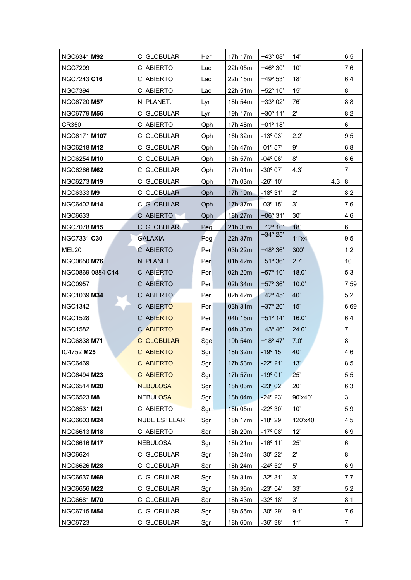| NGC6341 M92        | C. GLOBULAR         | Her        | 17h 17m | $+43°08'$         | 14'                   | 6,5            |
|--------------------|---------------------|------------|---------|-------------------|-----------------------|----------------|
| <b>NGC7209</b>     | C. ABIERTO          | Lac        | 22h 05m | $+46°30'$         | 10'                   | 7,6            |
| <b>NGC7243 C16</b> | C. ABIERTO          | Lac        | 22h 15m | $+49^{\circ} 53'$ | 18'                   | 6,4            |
| <b>NGC7394</b>     | C. ABIERTO          | Lac        | 22h 51m | +52° 10'          | 15'                   | 8              |
| NGC6720 M57        | N. PLANET.          | Lyr        | 18h 54m | $+33^{\circ} 02'$ | 76"                   | 8,8            |
| NGC6779 M56        | C. GLOBULAR         | Lyr        | 19h 17m | $+30^{\circ}$ 11' | $2^{\prime}$          | 8,2            |
| CR350              | C. ABIERTO          | Oph        | 17h 48m | $+01^{\circ} 18'$ |                       | 6              |
| NGC6171 M107       | C. GLOBULAR         | Oph        | 16h 32m | $-13^{\circ}03'$  | 2.2'                  | 9,5            |
| NGC6218 <b>M12</b> | C. GLOBULAR         | Oph.       | 16h 47m | $-01^{\circ}57'$  | 9'                    | 6,8            |
| NGC6254 M10        | C. GLOBULAR         | Oph        | 16h 57m | $-04^{\circ}06'$  | 8'                    | 6,6            |
| <b>NGC6266 M62</b> | C. GLOBULAR         | Oph        | 17h 01m | $-30^{\circ}$ 07' | 4.3'                  | $\overline{7}$ |
| NGC6273 M19        | C. GLOBULAR         | Oph        | 17h 03m | $-26^{\circ} 10'$ | 4,3                   | 8              |
| NGC6333 M9         | C. GLOBULAR         | Oph.       | 17h 19m | $-18^{\circ} 31'$ | $2^{\prime}$          | 8,2            |
| NGC6402 M14        | C. GLOBULAR         | <b>Oph</b> | 17h 37m | $-03^{\circ}$ 15' | 3'                    | 7,6            |
| NGC6633            | C. ABIERTO          | Oph.       | 18h 27m | $+06°31'$         | 30'                   | 4,6            |
| <b>NGC7078 M15</b> | C. GLOBULAR         | Peg        | 21h 30m | $+12^{\circ} 10'$ | 18'                   | 6              |
| <b>NGC7331 C30</b> | <b>GALAXIA</b>      | Peg        | 22h 37m | $+34^{\circ} 25'$ | 11'x4'                | 9,5            |
| MEL20              | C. ABIERTO          | Per        | 03h 22m | $+48°36'$         | 300'                  | 1,2            |
| <b>NGC0650 M76</b> | N. PLANET.          | Per        | 01h 42m | $+51^{\circ}36'$  | 2.7'                  | 10             |
| NGC0869-0884 C14   | C. ABIERTO          | Per        | 02h 20m | +57° 10'          | 18.0'                 | 5,3            |
| <b>NGC0957</b>     | C. ABIERTO          | Per        | 02h 34m | $+57^{\circ}36'$  | 10.0'                 | 7,59           |
| <b>NGC1039 M34</b> | C. ABIERTO          | Per        | 02h 42m | $+42^{\circ} 45'$ | 40'                   | 5,2            |
| <b>NGC1342</b>     | C. ABIERTO          | Per        | 03h 31m | $+37^{\circ} 20'$ | 15'                   | 6,69           |
| <b>NGC1528</b>     | C. ABIERTO          | Per        | 04h 15m | $+51^{\circ}$ 14' | 16.0'                 | 6,4            |
| <b>NGC1582</b>     | C. ABIERTO          | Per        | 04h 33m | $+43^{\circ} 46'$ | 24.0'                 | $\overline{7}$ |
| NGC6838 M71        | C. GLOBULAR         | Sge        | 19h 54m | $+18^{\circ}47'$  | 7.0'                  | 8              |
| IC4752 M25         | <b>C. ABIERTO</b>   | Sgr        | 18h 32m | $-19°15'$         | 40'                   | 4,6            |
| <b>NGC6469</b>     | <b>C. ABIERTO</b>   | Sgr        | 17h 53m | $-22^{\circ} 21'$ | 13'                   | 8,5            |
| NGC6494 M23        | C. ABIERTO          | Sgr        | 17h 57m | $-19°01'$         | 25'                   | 5,5            |
| NGC6514 M20        | <b>NEBULOSA</b>     | Sgr        | 18h 03m | $-23^{\circ}02'$  | 20'                   | 6,3            |
| NGC6523 M8         | <b>NEBULOSA</b>     | Sgr        | 18h 04m | $-24^{\circ} 23'$ | 90'x40'               | 3              |
| NGC6531 M21        | C. ABIERTO          | Sgr        | 18h 05m | $-22^{\circ}30'$  | 10'                   | 5,9            |
| NGC6603 M24        | <b>NUBE ESTELAR</b> | Sgr        | 18h 17m | $-18^{\circ} 29'$ | 120'x40'              | 4,5            |
| NGC6613 M18        | C. ABIERTO          | Sgr        | 18h 20m | $-17^{\circ}08'$  | 12'                   | 6,9            |
| NGC6616 M17        | NEBULOSA            | Sgr        | 18h 21m | $-16^{\circ} 11'$ | 25'                   | 6              |
| <b>NGC6624</b>     | C. GLOBULAR         | Sgr        | 18h 24m | $-30^{\circ}$ 22' | $2^{\prime}$          | 8              |
| NGC6626 M28        | C. GLOBULAR         | Sgr        | 18h 24m | $-24^{\circ}52'$  | $5^{\prime}$          | 6,9            |
| NGC6637 M69        | C. GLOBULAR         | Sgr        | 18h 31m | $-32^{\circ}31'$  | 3'                    | 7,7            |
| NGC6656 M22        | C. GLOBULAR         | Sgr        | 18h 36m | $-23^{\circ} 54'$ | 33'                   | 5,2            |
| NGC6681 M70        | C. GLOBULAR         | Sgr        | 18h 43m | $-32^{\circ}$ 18' | 3'                    | 8,1            |
| NGC6715 M54        | C. GLOBULAR         | Sgr        | 18h 55m | -30° 29'          | 9.1'                  | 7,6            |
| <b>NGC6723</b>     | C. GLOBULAR         | Sgr        | 18h 60m | $-36^{\circ}38'$  | $\overline{7}$<br>11' |                |